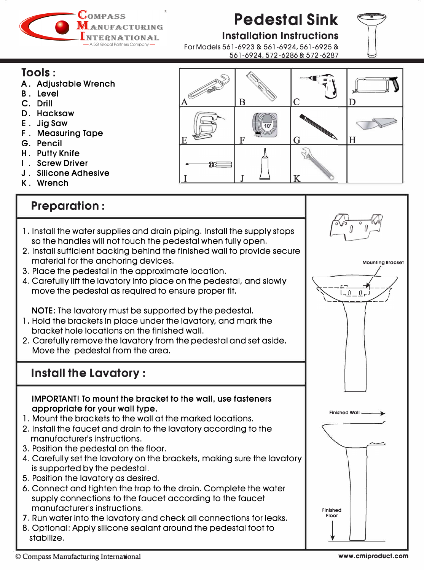

# **Pedestal Sink**

**Installation Instructions** 

561-6924, 572-6286 & 572-6287

For Models 561-6923 & 561-6924, 561 -6925 &

**Tools:** 

- A. Adjustable Wrench
- B. Level
- C. Drill
- D. Hacksaw
- E. Jig Saw
- F . Measuring Tape
- G. Pencil
- H . Putty Knife
- I . Screw Driver
- J . Silicone Adhesive
- K. Wrench

# **Preparation :**

- l . Install the water supplies and drain piping. Install the supply stops so the handles will not touch the pedestal when fully open.
- 2. Install sufficient backing behind the finished wall to provide secure material for the anchoring devices.
- 3. Place the pedestal in the approximate location.
- 4. Carefully lift the lavatory into place on the pedestal, and slowly move the pedestal as required to ensure proper fit.

NOTE: The lavatory must be supported by the pedestal.

- l . Hold the brackets in place under the lavatory, and mark the bracket hole locations on the finished wall.
- 2. Carefully remove the lavatory from the pedestal and set aside. Move the pedestal from the area.

# **Install the Lavatory:**

IMPORTANT! To mount the bracket to the wall, use fasteners appropriate for your wall type.

- l . Mount the brackets to the wall at the marked locations.
- 2. Install the faucet and drain to the lavatory according to the manufacturer's instructions.
- 3. Position the pedestal on the floor.
- 4. Carefully set the lavatory on the brackets, making sure the lavatory is supported by the pedestal.
- 5. Position the lavatory as desired.
- 6. Connect and tighten the trap to the drain. Complete the water supply connections to the faucet according to the faucet manufacturer's instructions.
- 7. Run water into the lavatory and check all connections for leaks.
- 8. Optional: Apply silicone sealant around the pedestal foot to stabilize.